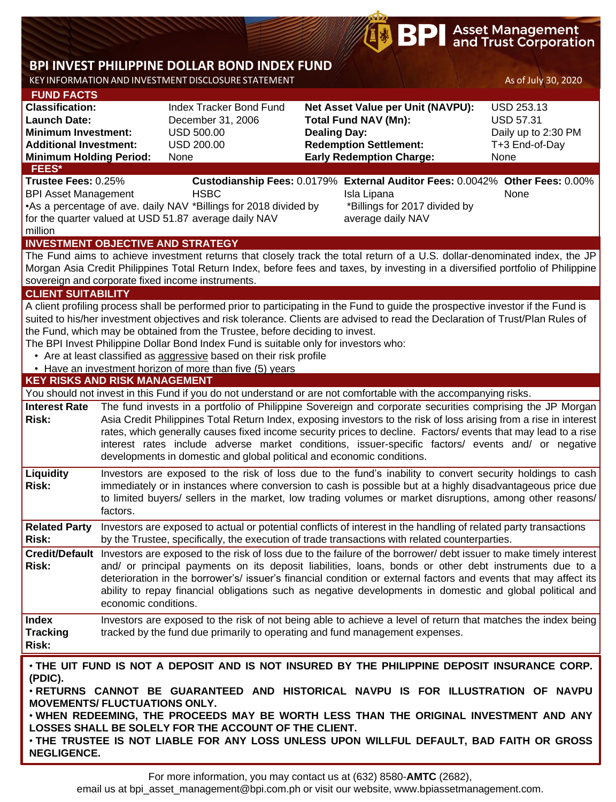# **BPI** Asset Management

## **BPI INVEST PHILIPPINE DOLLAR BOND INDEX FUND**

KEY INFORMATION AND INVESTMENT DISCLOSURE STATEMENT AND AS OF JULY 30, 2020

| <b>FUND FACTS</b>                                                                                                        |                      |                                                                                                                           |                                                                                                                                                                                                                                      |                     |  |  |  |
|--------------------------------------------------------------------------------------------------------------------------|----------------------|---------------------------------------------------------------------------------------------------------------------------|--------------------------------------------------------------------------------------------------------------------------------------------------------------------------------------------------------------------------------------|---------------------|--|--|--|
| <b>Classification:</b>                                                                                                   |                      | Index Tracker Bond Fund                                                                                                   | Net Asset Value per Unit (NAVPU):                                                                                                                                                                                                    | USD 253.13          |  |  |  |
| <b>Launch Date:</b>                                                                                                      |                      | December 31, 2006                                                                                                         | <b>Total Fund NAV (Mn):</b>                                                                                                                                                                                                          | <b>USD 57.31</b>    |  |  |  |
| <b>Minimum Investment:</b>                                                                                               |                      | <b>USD 500.00</b>                                                                                                         | <b>Dealing Day:</b>                                                                                                                                                                                                                  | Daily up to 2:30 PM |  |  |  |
| <b>Additional Investment:</b>                                                                                            |                      | <b>USD 200.00</b>                                                                                                         | <b>Redemption Settlement:</b>                                                                                                                                                                                                        | T+3 End-of-Day      |  |  |  |
| <b>Minimum Holding Period:</b>                                                                                           |                      | None                                                                                                                      | <b>Early Redemption Charge:</b>                                                                                                                                                                                                      | None                |  |  |  |
| FEES*                                                                                                                    |                      |                                                                                                                           |                                                                                                                                                                                                                                      |                     |  |  |  |
| Trustee Fees: 0.25%                                                                                                      |                      |                                                                                                                           | Custodianship Fees: 0.0179% External Auditor Fees: 0.0042% Other Fees: 0.00%                                                                                                                                                         |                     |  |  |  |
| <b>BPI Asset Management</b>                                                                                              |                      | <b>HSBC</b>                                                                                                               | Isla Lipana                                                                                                                                                                                                                          | None                |  |  |  |
|                                                                                                                          |                      | •As a percentage of ave. daily NAV *Billings for 2018 divided by<br>for the quarter valued at USD 51.87 average daily NAV | *Billings for 2017 divided by<br>average daily NAV                                                                                                                                                                                   |                     |  |  |  |
| million                                                                                                                  |                      |                                                                                                                           |                                                                                                                                                                                                                                      |                     |  |  |  |
|                                                                                                                          |                      | <b>INVESTMENT OBJECTIVE AND STRATEGY</b>                                                                                  |                                                                                                                                                                                                                                      |                     |  |  |  |
|                                                                                                                          |                      |                                                                                                                           | The Fund aims to achieve investment returns that closely track the total return of a U.S. dollar-denominated index, the JP                                                                                                           |                     |  |  |  |
|                                                                                                                          |                      |                                                                                                                           | Morgan Asia Credit Philippines Total Return Index, before fees and taxes, by investing in a diversified portfolio of Philippine                                                                                                      |                     |  |  |  |
|                                                                                                                          |                      | sovereign and corporate fixed income instruments.                                                                         |                                                                                                                                                                                                                                      |                     |  |  |  |
| <b>CLIENT SUITABILITY</b>                                                                                                |                      |                                                                                                                           |                                                                                                                                                                                                                                      |                     |  |  |  |
|                                                                                                                          |                      |                                                                                                                           | A client profiling process shall be performed prior to participating in the Fund to guide the prospective investor if the Fund is                                                                                                    |                     |  |  |  |
|                                                                                                                          |                      |                                                                                                                           | suited to his/her investment objectives and risk tolerance. Clients are advised to read the Declaration of Trust/Plan Rules of                                                                                                       |                     |  |  |  |
|                                                                                                                          |                      | the Fund, which may be obtained from the Trustee, before deciding to invest.                                              |                                                                                                                                                                                                                                      |                     |  |  |  |
|                                                                                                                          |                      | The BPI Invest Philippine Dollar Bond Index Fund is suitable only for investors who:                                      |                                                                                                                                                                                                                                      |                     |  |  |  |
|                                                                                                                          |                      | • Are at least classified as aggressive based on their risk profile                                                       |                                                                                                                                                                                                                                      |                     |  |  |  |
|                                                                                                                          |                      | • Have an investment horizon of more than five (5) years                                                                  |                                                                                                                                                                                                                                      |                     |  |  |  |
| <b>KEY RISKS AND RISK MANAGEMENT</b>                                                                                     |                      |                                                                                                                           |                                                                                                                                                                                                                                      |                     |  |  |  |
|                                                                                                                          |                      |                                                                                                                           | You should not invest in this Fund if you do not understand or are not comfortable with the accompanying risks.                                                                                                                      |                     |  |  |  |
| <b>Interest Rate</b><br><b>Risk:</b>                                                                                     |                      |                                                                                                                           | The fund invests in a portfolio of Philippine Sovereign and corporate securities comprising the JP Morgan                                                                                                                            |                     |  |  |  |
|                                                                                                                          |                      |                                                                                                                           | Asia Credit Philippines Total Return Index, exposing investors to the risk of loss arising from a rise in interest<br>rates, which generally causes fixed income security prices to decline. Factors/ events that may lead to a rise |                     |  |  |  |
|                                                                                                                          |                      |                                                                                                                           | interest rates include adverse market conditions, issuer-specific factors/ events and/ or negative                                                                                                                                   |                     |  |  |  |
|                                                                                                                          |                      | developments in domestic and global political and economic conditions.                                                    |                                                                                                                                                                                                                                      |                     |  |  |  |
| Liquidity                                                                                                                |                      |                                                                                                                           | Investors are exposed to the risk of loss due to the fund's inability to convert security holdings to cash                                                                                                                           |                     |  |  |  |
| <b>Risk:</b>                                                                                                             |                      |                                                                                                                           | immediately or in instances where conversion to cash is possible but at a highly disadvantageous price due                                                                                                                           |                     |  |  |  |
|                                                                                                                          |                      |                                                                                                                           | to limited buyers/ sellers in the market, low trading volumes or market disruptions, among other reasons/                                                                                                                            |                     |  |  |  |
|                                                                                                                          | factors.             |                                                                                                                           |                                                                                                                                                                                                                                      |                     |  |  |  |
| <b>Related Party</b>                                                                                                     |                      |                                                                                                                           | Investors are exposed to actual or potential conflicts of interest in the handling of related party transactions                                                                                                                     |                     |  |  |  |
| <b>Risk:</b>                                                                                                             |                      |                                                                                                                           | by the Trustee, specifically, the execution of trade transactions with related counterparties.                                                                                                                                       |                     |  |  |  |
|                                                                                                                          |                      |                                                                                                                           | Credit/Default Investors are exposed to the risk of loss due to the failure of the borrower/debt issuer to make timely interest                                                                                                      |                     |  |  |  |
| <b>Risk:</b>                                                                                                             |                      |                                                                                                                           | and/ or principal payments on its deposit liabilities, loans, bonds or other debt instruments due to a                                                                                                                               |                     |  |  |  |
|                                                                                                                          |                      |                                                                                                                           | deterioration in the borrower's/ issuer's financial condition or external factors and events that may affect its                                                                                                                     |                     |  |  |  |
|                                                                                                                          |                      |                                                                                                                           | ability to repay financial obligations such as negative developments in domestic and global political and                                                                                                                            |                     |  |  |  |
|                                                                                                                          | economic conditions. |                                                                                                                           |                                                                                                                                                                                                                                      |                     |  |  |  |
| <b>Index</b>                                                                                                             |                      |                                                                                                                           | Investors are exposed to the risk of not being able to achieve a level of return that matches the index being                                                                                                                        |                     |  |  |  |
| <b>Tracking</b>                                                                                                          |                      |                                                                                                                           | tracked by the fund due primarily to operating and fund management expenses.                                                                                                                                                         |                     |  |  |  |
| Risk:                                                                                                                    |                      |                                                                                                                           |                                                                                                                                                                                                                                      |                     |  |  |  |
|                                                                                                                          |                      |                                                                                                                           |                                                                                                                                                                                                                                      |                     |  |  |  |
|                                                                                                                          |                      |                                                                                                                           | . THE UIT FUND IS NOT A DEPOSIT AND IS NOT INSURED BY THE PHILIPPINE DEPOSIT INSURANCE CORP.                                                                                                                                         |                     |  |  |  |
| (PDIC).                                                                                                                  |                      |                                                                                                                           |                                                                                                                                                                                                                                      |                     |  |  |  |
| . RETURNS CANNOT BE GUARANTEED AND HISTORICAL NAVPU IS FOR ILLUSTRATION OF NAVPU<br><b>MOVEMENTS/ FLUCTUATIONS ONLY.</b> |                      |                                                                                                                           |                                                                                                                                                                                                                                      |                     |  |  |  |
|                                                                                                                          |                      |                                                                                                                           |                                                                                                                                                                                                                                      |                     |  |  |  |
|                                                                                                                          |                      |                                                                                                                           | . WHEN REDEEMING, THE PROCEEDS MAY BE WORTH LESS THAN THE ORIGINAL INVESTMENT AND ANY                                                                                                                                                |                     |  |  |  |
|                                                                                                                          |                      | LOSSES SHALL BE SOLELY FOR THE ACCOUNT OF THE CLIENT.                                                                     |                                                                                                                                                                                                                                      |                     |  |  |  |

• **THE TRUSTEE IS NOT LIABLE FOR ANY LOSS UNLESS UPON WILLFUL DEFAULT, BAD FAITH OR GROSS NEGLIGENCE.**

For more information, you may contact us at (632) 8580-**AMTC** (2682),

email us at bpi\_asset\_management@bpi.com.ph or visit our website, www.bpiassetmanagement.com.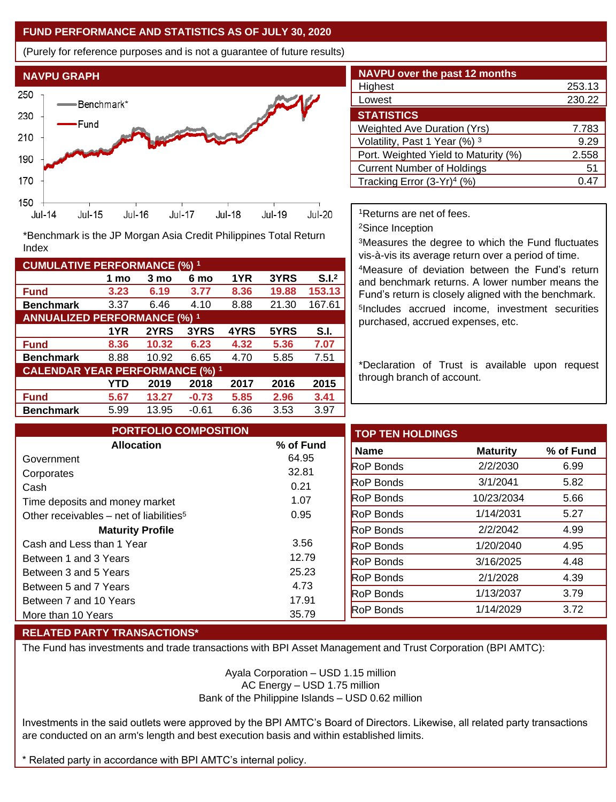#### **FUND PERFORMANCE AND STATISTICS AS OF JULY 30, 2020**

(Purely for reference purposes and is not a guarantee of future results)



**Fund 3.23 6.19 3.77 8.36 19.88 153.13 Benchmark** 3.37 6.46 4.10 8.88 21.30 167.61

\*Benchmark is the JP Morgan Asia Credit Philippines Total Return

**Fund 8.36 10.32 6.23 4.32 5.36 7.07 Benchmark** 8.88 10.92 6.65 4.70 5.85 7.51

**Fund 5.67 13.27 -0.73 5.85 2.96 3.41 Benchmark** 5.99 13.95 -0.61 6.36 3.53 3.97

**1 mo 3 mo 6 mo 1YR 3YRS S.I.<sup>2</sup>**

**1YR 2YRS 3YRS 4YRS 5YRS S.I.**

**YTD 2019 2018 2017 2016 2015**

| <b>NAVPU over the past 12 months</b>   |        |  |  |  |  |
|----------------------------------------|--------|--|--|--|--|
| Highest                                | 253.13 |  |  |  |  |
| Lowest                                 | 230.22 |  |  |  |  |
| <b>STATISTICS</b>                      |        |  |  |  |  |
| <b>Weighted Ave Duration (Yrs)</b>     | 7.783  |  |  |  |  |
| Volatility, Past 1 Year (%) 3          | 9.29   |  |  |  |  |
| Port. Weighted Yield to Maturity (%)   | 2.558  |  |  |  |  |
| <b>Current Number of Holdings</b>      | 51     |  |  |  |  |
| Tracking Error (3-Yr) <sup>4</sup> (%) | 0.47   |  |  |  |  |

<sup>1</sup>Returns are net of fees.

<sup>2</sup>Since Inception

<sup>3</sup>Measures the degree to which the Fund fluctuates vis-à-vis its average return over a period of time.

<sup>4</sup>Measure of deviation between the Fund's return and benchmark returns. A lower number means the Fund's return is closely aligned with the benchmark. 5 Includes accrued income, investment securities purchased, accrued expenses, etc.

\*Declaration of Trust is available upon request through branch of account.

| <b>PORTFOLIO COMPOSITION</b>                        |           | <b>TOP TEN HOLDINGS</b> |                 |
|-----------------------------------------------------|-----------|-------------------------|-----------------|
| <b>Allocation</b>                                   | % of Fund | <b>Name</b>             | <b>Maturity</b> |
| Government                                          | 64.95     | <b>RoP Bonds</b>        | 2/2/2030        |
| Corporates                                          | 32.81     | <b>RoP Bonds</b>        | 3/1/2041        |
| Cash                                                | 0.21      |                         |                 |
| Time deposits and money market                      | 1.07      | <b>RoP Bonds</b>        | 10/23/2034      |
| Other receivables – net of liabilities <sup>5</sup> | 0.95      | <b>RoP Bonds</b>        | 1/14/2031       |
| <b>Maturity Profile</b>                             |           | <b>RoP Bonds</b>        | 2/2/2042        |
| Cash and Less than 1 Year                           | 3.56      | <b>RoP Bonds</b>        | 1/20/2040       |
| Between 1 and 3 Years                               | 12.79     | <b>RoP Bonds</b>        | 3/16/2025       |
| Between 3 and 5 Years                               | 25.23     | <b>RoP Bonds</b>        | 2/1/2028        |
| Between 5 and 7 Years                               | 4.73      | <b>RoP Bonds</b>        | 1/13/2037       |
| Between 7 and 10 Years                              | 17.91     |                         |                 |
| More than 10 Years                                  | 35.79     | <b>RoP Bonds</b>        | 1/14/2029       |

### **RELATED PARTY TRANSACTIONS\***

**CUMULATIVE PERFORMANCE (%) <sup>1</sup>**

Index

**ANNUALIZED PERFORMANCE (%) <sup>1</sup>**

**CALENDAR YEAR PERFORMANCE (%) <sup>1</sup>**

The Fund has investments and trade transactions with BPI Asset Management and Trust Corporation (BPI AMTC):

Ayala Corporation – USD 1.15 million AC Energy – USD 1.75 million Bank of the Philippine Islands – USD 0.62 million

Investments in the said outlets were approved by the BPI AMTC's Board of Directors. Likewise, all related party transactions are conducted on an arm's length and best execution basis and within established limits.

\* Related party in accordance with BPI AMTC's internal policy.